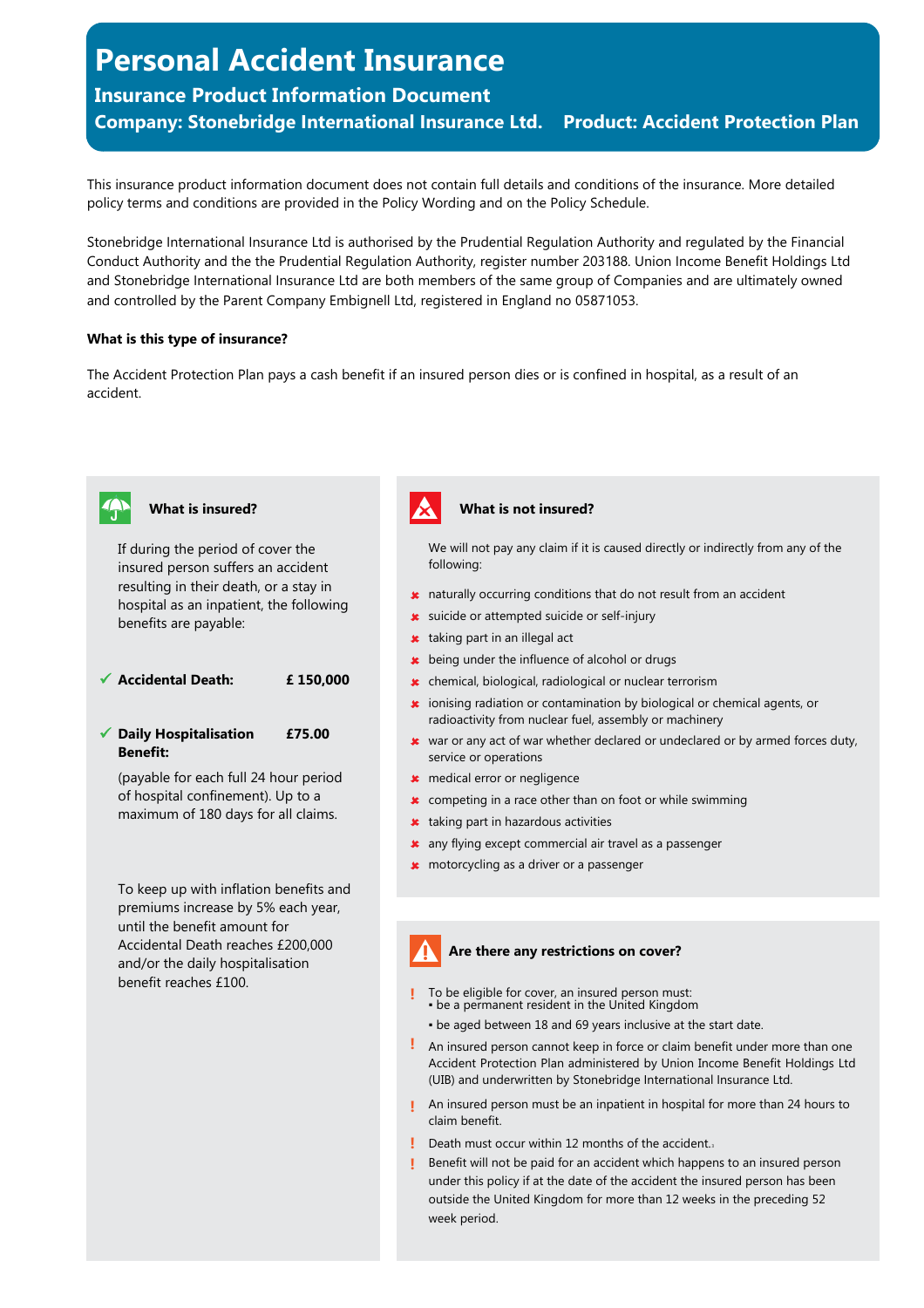# **Personal Accident Insurance**

# **Insurance Product Information Document**

**Company: Stonebridge International Insurance Ltd. Product: Accident Protection Plan**

This insurance product information document does not contain full details and conditions of the insurance. More detailed policy terms and conditions are provided in the Policy Wording and on the Policy Schedule.

Stonebridge International Insurance Ltd is authorised by the Prudential Regulation Authority and regulated by the Financial Conduct Authority and the the Prudential Regulation Authority, register number 203188. Union Income Benefit Holdings Ltd and Stonebridge International Insurance Ltd are both members of the same group of Companies and are ultimately owned and controlled by the Parent Company Embignell Ltd, registered in England no 05871053.

## **What is this type of insurance?**

\$tpm-begins 828664, and 2010 and 2010 and 2010 and 2010 and 2010 and 2010 and 2010

The Accident Protection Plan pays a cash benefit if an insured person dies or is confined in hospital, as a result of an accident.



# **What is insured?**

If during the period of cover the insured person suffers an accident resulting in their death, or a stay in hospital as an inpatient, the following benefits are payable:

ü **Accidental Death: £ 150,000**

ü **Daily Hospitalisation Benefit: £75.00**

(payable for each full 24 hour period of hospital confinement). Up to a maximum of 180 days for all claims.

To keep up with inflation benefits and premiums increase by 5% each year, until the benefit amount for Accidental Death reaches £200,000 and/or the daily hospitalisation benefit reaches £100.



#### **What is not insured?**

We will not pay any claim if it is caused directly or indirectly from any of the following:

- $\star$  naturally occurring conditions that do not result from an accident
- **x** suicide or attempted suicide or self-injury
- **\*** taking part in an illegal act
- **\*** being under the influence of alcohol or drugs
- û chemical, biological, radiological or nuclear terrorism
- ionising radiation or contamination by biological or chemical agents, or û radioactivity from nuclear fuel, assembly or machinery
- û war or any act of war whether declared or undeclared or by armed forces duty, service or operations
- \* medical error or negligence
- $\star$  competing in a race other than on foot or while swimming
- **\*** taking part in hazardous activities
- **\*** any flying except commercial air travel as a passenger
- **\*** motorcycling as a driver or a passenger

# **Are there any restrictions on cover?**

- To be eligible for cover, an insured person must: . be a permanent resident in the United Kingdom **!**
	- be aged between 18 and 69 years inclusive at the start date.
- **!** An insured person cannot keep in force or claim benefit under more than one Accident Protection Plan administered by Union Income Benefit Holdings Ltd (UIB) and underwritten by Stonebridge International Insurance Ltd.
- **!** An insured person must be an inpatient in hospital for more than 24 hours to claim benefit.
- **!** Death must occur within 12 months of the accident.<sup>3</sup>
- Benefit will not be paid for an accident which happens to an insured person under this policy if at the date of the accident the insured person has been outside the United Kingdom for more than 12 weeks in the preceding 52 week period. **!**